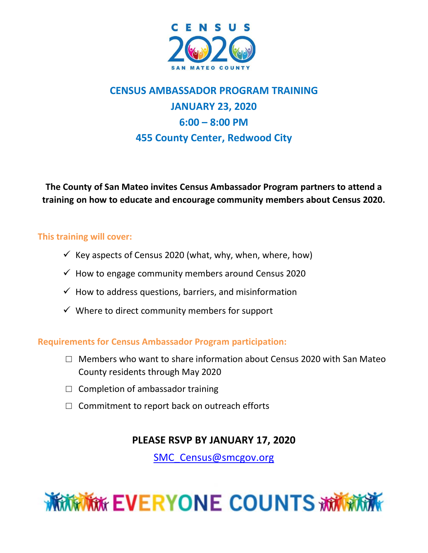

# **CENSUS AMBASSADOR PROGRAM TRAINING JANUARY 23, 2020 6:00 – 8:00 PM 455 County Center, Redwood City**

**The County of San Mateo invites Census Ambassador Program partners to attend a training on how to educate and encourage community members about Census 2020.**

### **This training will cover:**

- $\checkmark$  Key aspects of Census 2020 (what, why, when, where, how)
- $\checkmark$  How to engage community members around Census 2020
- $\checkmark$  How to address questions, barriers, and misinformation
- $\checkmark$  Where to direct community members for support

**Requirements for Census Ambassador Program participation:**

- $\Box$  Members who want to share information about Census 2020 with San Mateo County residents through May 2020
- $\Box$  Completion of ambassador training
- $\Box$  Commitment to report back on outreach efforts

# **PLEASE RSVP BY JANUARY 17, 2020**

[SMC\\_Census@smcgov.org](mailto:SMC_Census@smcgov.org)